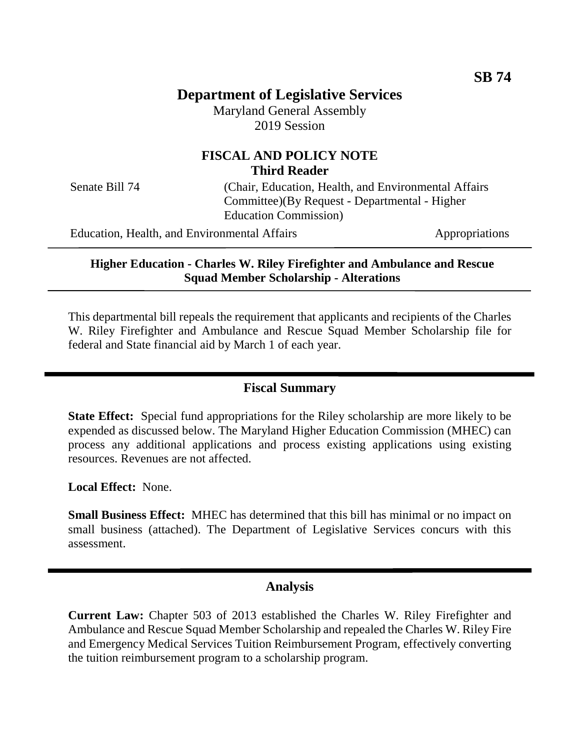# **Department of Legislative Services**

Maryland General Assembly 2019 Session

## **FISCAL AND POLICY NOTE Third Reader**

Senate Bill 74 (Chair, Education, Health, and Environmental Affairs) Committee)(By Request - Departmental - Higher Education Commission)

Education, Health, and Environmental Affairs Appropriations

**Higher Education - Charles W. Riley Firefighter and Ambulance and Rescue Squad Member Scholarship - Alterations**

This departmental bill repeals the requirement that applicants and recipients of the Charles W. Riley Firefighter and Ambulance and Rescue Squad Member Scholarship file for federal and State financial aid by March 1 of each year.

### **Fiscal Summary**

**State Effect:** Special fund appropriations for the Riley scholarship are more likely to be expended as discussed below. The Maryland Higher Education Commission (MHEC) can process any additional applications and process existing applications using existing resources. Revenues are not affected.

**Local Effect:** None.

**Small Business Effect:** MHEC has determined that this bill has minimal or no impact on small business (attached). The Department of Legislative Services concurs with this assessment.

### **Analysis**

**Current Law:** Chapter 503 of 2013 established the Charles W. Riley Firefighter and Ambulance and Rescue Squad Member Scholarship and repealed the Charles W. Riley Fire and Emergency Medical Services Tuition Reimbursement Program, effectively converting the tuition reimbursement program to a scholarship program.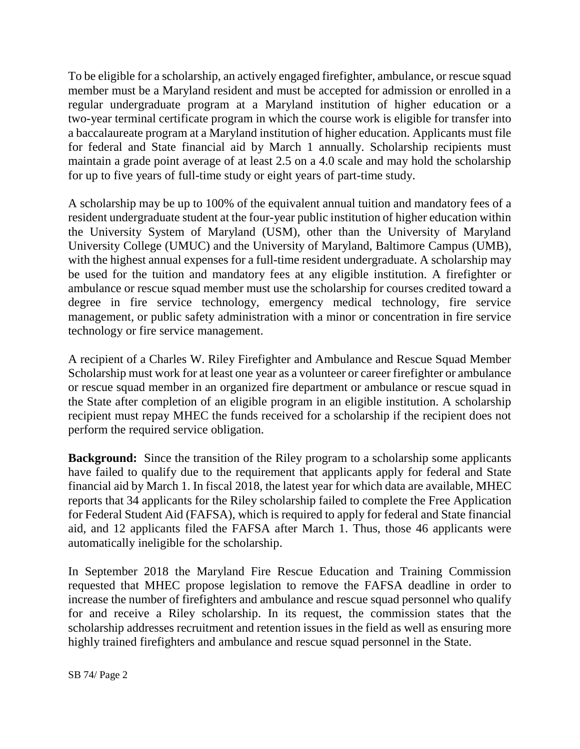To be eligible for a scholarship, an actively engaged firefighter, ambulance, or rescue squad member must be a Maryland resident and must be accepted for admission or enrolled in a regular undergraduate program at a Maryland institution of higher education or a two-year terminal certificate program in which the course work is eligible for transfer into a baccalaureate program at a Maryland institution of higher education. Applicants must file for federal and State financial aid by March 1 annually. Scholarship recipients must maintain a grade point average of at least 2.5 on a 4.0 scale and may hold the scholarship for up to five years of full-time study or eight years of part-time study.

A scholarship may be up to 100% of the equivalent annual tuition and mandatory fees of a resident undergraduate student at the four-year public institution of higher education within the University System of Maryland (USM), other than the University of Maryland University College (UMUC) and the University of Maryland, Baltimore Campus (UMB), with the highest annual expenses for a full-time resident undergraduate. A scholarship may be used for the tuition and mandatory fees at any eligible institution. A firefighter or ambulance or rescue squad member must use the scholarship for courses credited toward a degree in fire service technology, emergency medical technology, fire service management, or public safety administration with a minor or concentration in fire service technology or fire service management.

A recipient of a Charles W. Riley Firefighter and Ambulance and Rescue Squad Member Scholarship must work for at least one year as a volunteer or career firefighter or ambulance or rescue squad member in an organized fire department or ambulance or rescue squad in the State after completion of an eligible program in an eligible institution. A scholarship recipient must repay MHEC the funds received for a scholarship if the recipient does not perform the required service obligation.

**Background:** Since the transition of the Riley program to a scholarship some applicants have failed to qualify due to the requirement that applicants apply for federal and State financial aid by March 1. In fiscal 2018, the latest year for which data are available, MHEC reports that 34 applicants for the Riley scholarship failed to complete the Free Application for Federal Student Aid (FAFSA), which is required to apply for federal and State financial aid, and 12 applicants filed the FAFSA after March 1. Thus, those 46 applicants were automatically ineligible for the scholarship.

In September 2018 the Maryland Fire Rescue Education and Training Commission requested that MHEC propose legislation to remove the FAFSA deadline in order to increase the number of firefighters and ambulance and rescue squad personnel who qualify for and receive a Riley scholarship. In its request, the commission states that the scholarship addresses recruitment and retention issues in the field as well as ensuring more highly trained firefighters and ambulance and rescue squad personnel in the State.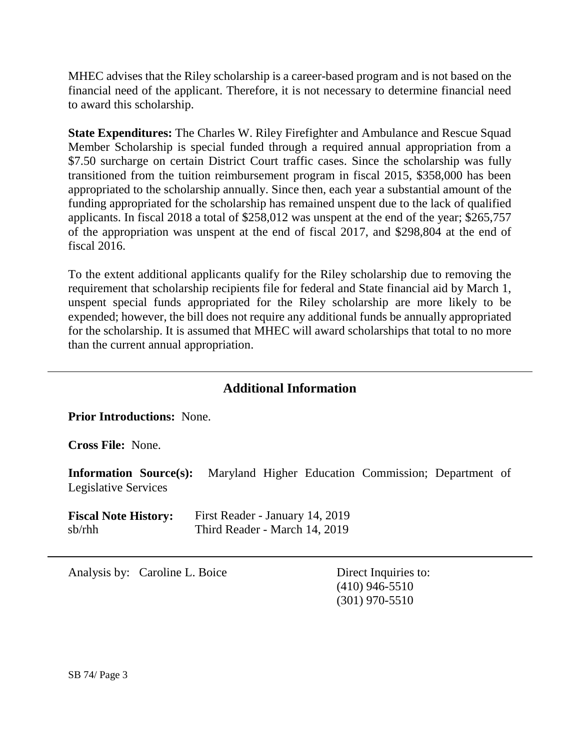MHEC advises that the Riley scholarship is a career-based program and is not based on the financial need of the applicant. Therefore, it is not necessary to determine financial need to award this scholarship.

**State Expenditures:** The Charles W. Riley Firefighter and Ambulance and Rescue Squad Member Scholarship is special funded through a required annual appropriation from a \$7.50 surcharge on certain District Court traffic cases. Since the scholarship was fully transitioned from the tuition reimbursement program in fiscal 2015, \$358,000 has been appropriated to the scholarship annually. Since then, each year a substantial amount of the funding appropriated for the scholarship has remained unspent due to the lack of qualified applicants. In fiscal 2018 a total of \$258,012 was unspent at the end of the year; \$265,757 of the appropriation was unspent at the end of fiscal 2017, and \$298,804 at the end of fiscal 2016.

To the extent additional applicants qualify for the Riley scholarship due to removing the requirement that scholarship recipients file for federal and State financial aid by March 1, unspent special funds appropriated for the Riley scholarship are more likely to be expended; however, the bill does not require any additional funds be annually appropriated for the scholarship. It is assumed that MHEC will award scholarships that total to no more than the current annual appropriation.

## **Additional Information**

**Prior Introductions:** None.

**Cross File:** None.

**Information Source(s):** Maryland Higher Education Commission; Department of Legislative Services

**Fiscal Note History:** First Reader - January 14, 2019 sb/rhh Third Reader - March 14, 2019

Analysis by: Caroline L. Boice Direct Inquiries to:

(410) 946-5510 (301) 970-5510